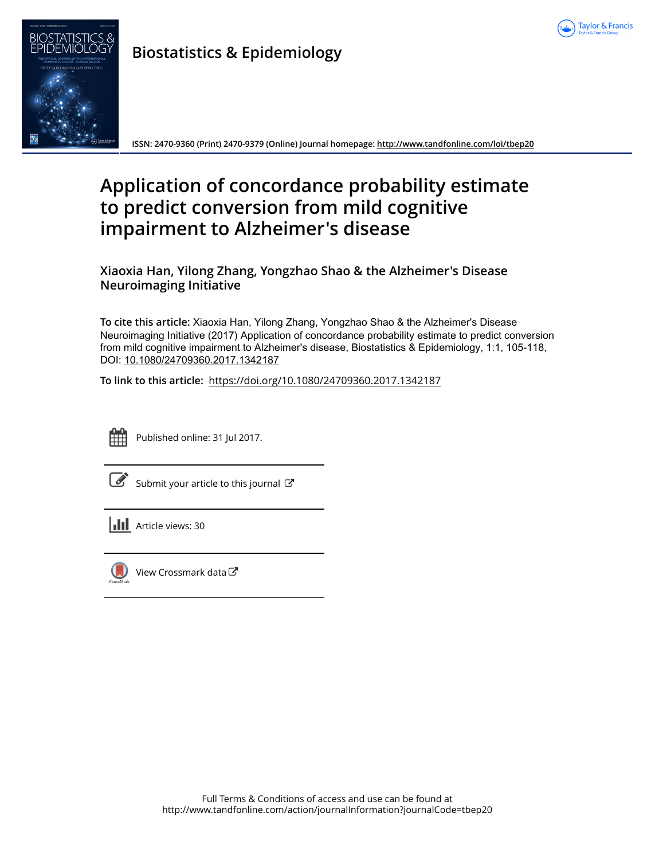



**ISSN: 2470-9360 (Print) 2470-9379 (Online) Journal homepage:<http://www.tandfonline.com/loi/tbep20>**

# **Application of concordance probability estimate to predict conversion from mild cognitive impairment to Alzheimer's disease**

**Xiaoxia Han, Yilong Zhang, Yongzhao Shao & the Alzheimer's Disease Neuroimaging Initiative**

**To cite this article:** Xiaoxia Han, Yilong Zhang, Yongzhao Shao & the Alzheimer's Disease Neuroimaging Initiative (2017) Application of concordance probability estimate to predict conversion from mild cognitive impairment to Alzheimer's disease, Biostatistics & Epidemiology, 1:1, 105-118, DOI: [10.1080/24709360.2017.1342187](http://www.tandfonline.com/action/showCitFormats?doi=10.1080/24709360.2017.1342187)

**To link to this article:** <https://doi.org/10.1080/24709360.2017.1342187>



Published online: 31 Jul 2017.

[Submit your article to this journal](http://www.tandfonline.com/action/authorSubmission?journalCode=tbep20&show=instructions)  $\mathbb{Z}$ 

**Article views: 30** 



[View Crossmark data](http://crossmark.crossref.org/dialog/?doi=10.1080/24709360.2017.1342187&domain=pdf&date_stamp=2017-07-31) $\bm{\mathcal{C}}$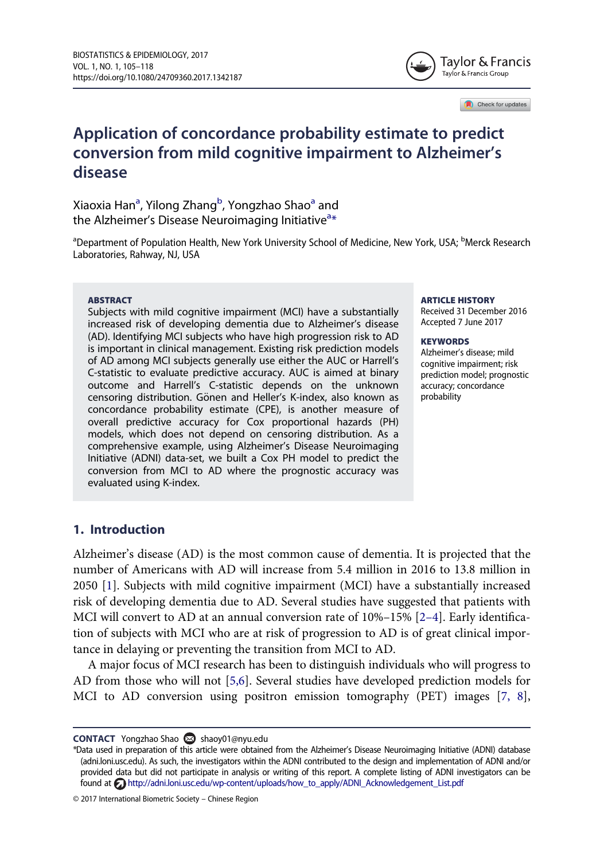

Check for updates

# Application of concordance probability estimate to predict conversion from mild cognitive impairment to Alzheimer's disease

Xi[a](#page-1-0)oxia Han<sup>a</sup>, Yilong Zhang<sup>[b](#page-1-0)</sup>, Yongzhao Shao<sup>a</sup> and the Alzheimer's Dis[ea](#page-1-0)se Neuroimaging Initiative<sup>a[\\*](#page-1-1)</sup>

<span id="page-1-0"></span><sup>a</sup>Department of Population Health, New York University School of Medicine, New York, USA; <sup>b</sup>Merck Research Laboratories, Rahway, NJ, USA

#### ABSTRACT

Subjects with mild cognitive impairment (MCI) have a substantially increased risk of developing dementia due to Alzheimer's disease (AD). Identifying MCI subjects who have high progression risk to AD is important in clinical management. Existing risk prediction models of AD among MCI subjects generally use either the AUC or Harrell's C-statistic to evaluate predictive accuracy. AUC is aimed at binary outcome and Harrell's C-statistic depends on the unknown censoring distribution. Gönen and Heller's K-index, also known as concordance probability estimate (CPE), is another measure of overall predictive accuracy for Cox proportional hazards (PH) models, which does not depend on censoring distribution. As a comprehensive example, using Alzheimer's Disease Neuroimaging Initiative (ADNI) data-set, we built a Cox PH model to predict the conversion from MCI to AD where the prognostic accuracy was evaluated using K-index.

#### **ARTICLE HISTORY**

Received 31 December 2016 Accepted 7 June 2017

#### **KEYWORDS**

Alzheimer's disease; mild cognitive impairment; risk prediction model; prognostic accuracy; concordance probability

# 1. Introduction

<span id="page-1-2"></span>Alzheimer's disease (AD) is the most common cause of dementia. It is projected that the number of Americans with AD will increase from 5.4 million in 2016 to 13.8 million in 2050 [[1\]](#page-12-0). Subjects with mild cognitive impairment (MCI) have a substantially increased risk of developing dementia due to AD. Several studies have suggested that patients with MCI will convert to AD at an annual conversion rate of 10%–15% [2[–](#page-12-1)4]. Early identification of subjects with MCI who are at risk of progression to AD is of great clinical importance in delaying or preventing the transition from MCI to AD.

<span id="page-1-5"></span><span id="page-1-4"></span><span id="page-1-3"></span>A major focus of MCI research has been to distinguish individuals who will progress to AD from those who will not [[5,6\]](#page-12-2). Several studies have developed prediction models for MCI to AD conversion using positron emission tomography (PET) images [\[7, 8\]](#page-12-3),

© 2017 International Biometric Society – Chinese Region

CONTACT Yongzhao Shao <a>
Shaoy01@nyu.edu<br/>
Integrable of the Shaoy01@nyu.edu

<span id="page-1-1"></span><sup>\*</sup>Data used in preparation of this article were obtained from the Alzheimer's Disease Neuroimaging Initiative (ADNI) database (adni.loni.usc.edu). As such, the investigators within the ADNI contributed to the design and implementation of ADNI and/or provided data but did not participate in analysis or writing of this report. A complete listing of ADNI investigators can be found at **[http://adni.loni.usc.edu/wp-content/uploads/how\\_to\\_apply/ADNI\\_Acknowledgement\\_List.pdf](http://adni.loni.usc.edu/wp-content/uploads/how_to_apply/ADNI_Acknowledgement_List.pdf)**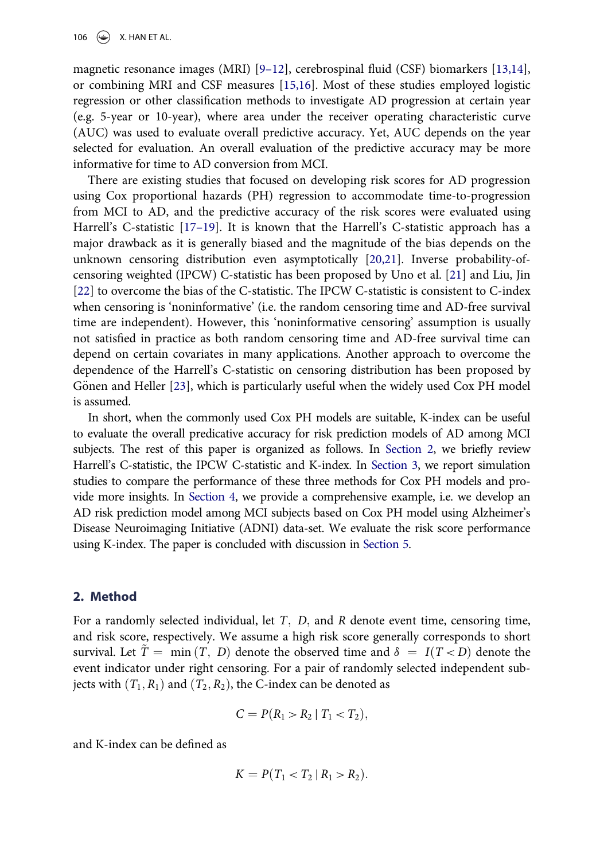<span id="page-2-2"></span><span id="page-2-1"></span>magnetic resonance images (MRI) [9–[12](#page-13-0)], cerebrospinal fluid (CSF) biomarkers [\[13,14\]](#page-13-1), or combining MRI and CSF measures [[15,16\]](#page-13-2). Most of these studies employed logistic regression or other classification methods to investigate AD progression at certain year (e.g. 5-year or 10-year), where area under the receiver operating characteristic curve (AUC) was used to evaluate overall predictive accuracy. Yet, AUC depends on the year selected for evaluation. An overall evaluation of the predictive accuracy may be more informative for time to AD conversion from MCI.

<span id="page-2-6"></span><span id="page-2-5"></span><span id="page-2-4"></span><span id="page-2-3"></span>There are existing studies that focused on developing risk scores for AD progression using Cox proportional hazards (PH) regression to accommodate time-to-progression from MCI to AD, and the predictive accuracy of the risk scores were evaluated using Harrell's C-statistic [17–[19\]](#page-13-3). It is known that the Harrell's C-statistic approach has a major drawback as it is generally biased and the magnitude of the bias depends on the unknown censoring distribution even asymptotically [[20,21](#page-13-4)]. Inverse probability-ofcensoring weighted (IPCW) C-statistic has been proposed by Uno et al. [\[21](#page-13-5)] and Liu, Jin [\[22](#page-13-6)] to overcome the bias of the C-statistic. The IPCW C-statistic is consistent to C-index when censoring is 'noninformative' (i.e. the random censoring time and AD-free survival time are independent). However, this 'noninformative censoring' assumption is usually not satisfied in practice as both random censoring time and AD-free survival time can depend on certain covariates in many applications. Another approach to overcome the dependence of the Harrell's C-statistic on censoring distribution has been proposed by Gönen and Heller [[23\]](#page-13-7), which is particularly useful when the widely used Cox PH model is assumed.

<span id="page-2-7"></span>In short, when the commonly used Cox PH models are suitable, K-index can be useful to evaluate the overall predicative accuracy for risk prediction models of AD among MCI subjects. The rest of this paper is organized as follows. In [Section 2,](#page-2-0) we briefly review Harrell's C-statistic, the IPCW C-statistic and K-index. In [Section 3](#page-4-0), we report simulation studies to compare the performance of these three methods for Cox PH models and provide more insights. In [Section 4](#page-5-0), we provide a comprehensive example, i.e. we develop an AD risk prediction model among MCI subjects based on Cox PH model using Alzheimer's Disease Neuroimaging Initiative (ADNI) data-set. We evaluate the risk score performance using K-index. The paper is concluded with discussion in [Section 5.](#page-9-0)

# <span id="page-2-0"></span>2. Method

For a randomly selected individual, let  $T$ ,  $D$ , and  $R$  denote event time, censoring time, and risk score, respectively. We assume a high risk score generally corresponds to short survival. Let  $T = min(T, D)$  denote the observed time and  $\delta = I(T < D)$  denote the event indicator under right censoring. For a pair of randomly selected independent subjects with  $(T_1, R_1)$  and  $(T_2, R_2)$ , the C-index can be denoted as

$$
C = P(R_1 > R_2 \mid T_1 < T_2),
$$

and K-index can be defined as

$$
K = P(T_1 < T_2 \mid R_1 > R_2).
$$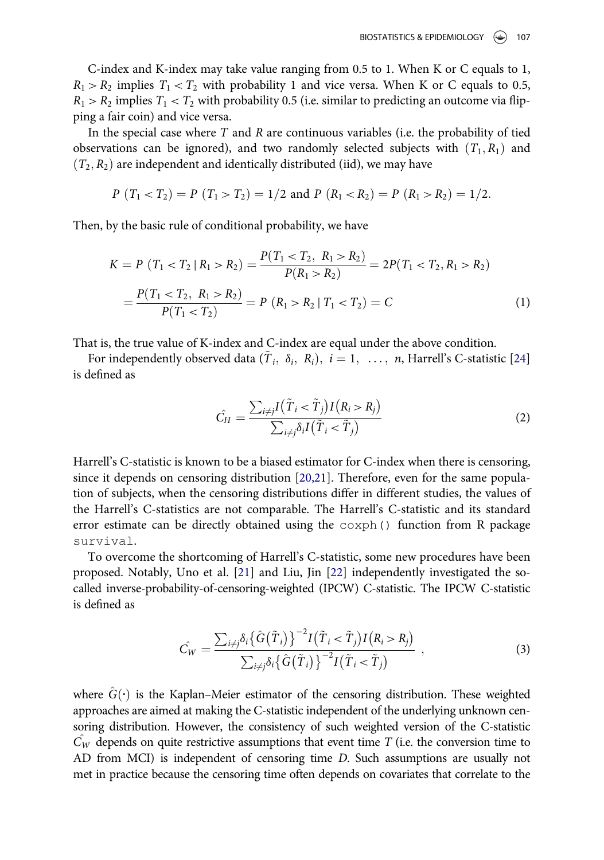C-index and K-index may take value ranging from 0.5 to 1. When K or C equals to 1,  $R_1 > R_2$  implies  $T_1 < T_2$  with probability 1 and vice versa. When K or C equals to 0.5,  $R_1 > R_2$  implies  $T_1 < T_2$  with probability 0.5 (i.e. similar to predicting an outcome via flipping a fair coin) and vice versa.

In the special case where  $T$  and  $R$  are continuous variables (i.e. the probability of tied observations can be ignored), and two randomly selected subjects with  $(T_1, R_1)$  and  $(T_2, R_2)$  are independent and identically distributed (iid), we may have

$$
P(T_1 < T_2) = P(T_1 > T_2) = 1/2
$$
 and  $P(R_1 < R_2) = P(R_1 > R_2) = 1/2$ .

Then, by the basic rule of conditional probability, we have

$$
K = P (T_1 < T_2 | R_1 > R_2) = \frac{P(T_1 < T_2, R_1 > R_2)}{P(R_1 > R_2)} = 2P(T_1 < T_2, R_1 > R_2)
$$
  
=  $\frac{P(T_1 < T_2, R_1 > R_2)}{P(T_1 < T_2)} = P (R_1 > R_2 | T_1 < T_2) = C$  (1)

That is, the true value of K-index and C-index are equal under the above condition.

<span id="page-3-0"></span>For independently observed data  $(T_i, \delta_i, R_i), i = 1, \ldots, n$ , Harrell's C-statistic [[24\]](#page-13-8) is defined as

$$
\hat{C}_{H} = \frac{\sum_{i \neq j} I(\tilde{T}_{i} < \tilde{T}_{j}) I(R_{i} > R_{j})}{\sum_{i \neq j} \delta_{i} I(\tilde{T}_{i} < \tilde{T}_{j})} \tag{2}
$$

Harrell's C-statistic is known to be a biased estimator for C-index when there is censoring, since it depends on censoring distribution [[20,21\]](#page-13-4). Therefore, even for the same population of subjects, when the censoring distributions differ in different studies, the values of the Harrell's C-statistics are not comparable. The Harrell's C-statistic and its standard error estimate can be directly obtained using the  $\cos^{-1}$  function from R package survival.

To overcome the shortcoming of Harrell's C-statistic, some new procedures have been proposed. Notably, Uno et al. [\[21](#page-13-5)] and Liu, Jin [\[22](#page-13-6)] independently investigated the socalled inverse-probability-of-censoring-weighted (IPCW) C-statistic. The IPCW C-statistic is defined as

$$
\hat{C_W} = \frac{\sum_{i \neq j} \delta_i \{\hat{G}(\tilde{T}_i)\}^{-2} I(\tilde{T}_i < \tilde{T}_j) I(R_i > R_j)}{\sum_{i \neq j} \delta_i \{\hat{G}(\tilde{T}_i)\}^{-2} I(\tilde{T}_i < \tilde{T}_j)},\tag{3}
$$

where  $\hat{G}(\cdot)$  is the Kaplan–Meier estimator of the censoring distribution. These weighted approaches are aimed at making the C-statistic independent of the underlying unknown censoring distribution. However, the consistency of such weighted version of the C-statistic  $\hat{C_W}$  depends on quite restrictive assumptions that event time T (i.e. the conversion time to AD from MCI) is independent of censoring time D. Such assumptions are usually not met in practice because the censoring time often depends on covariates that correlate to the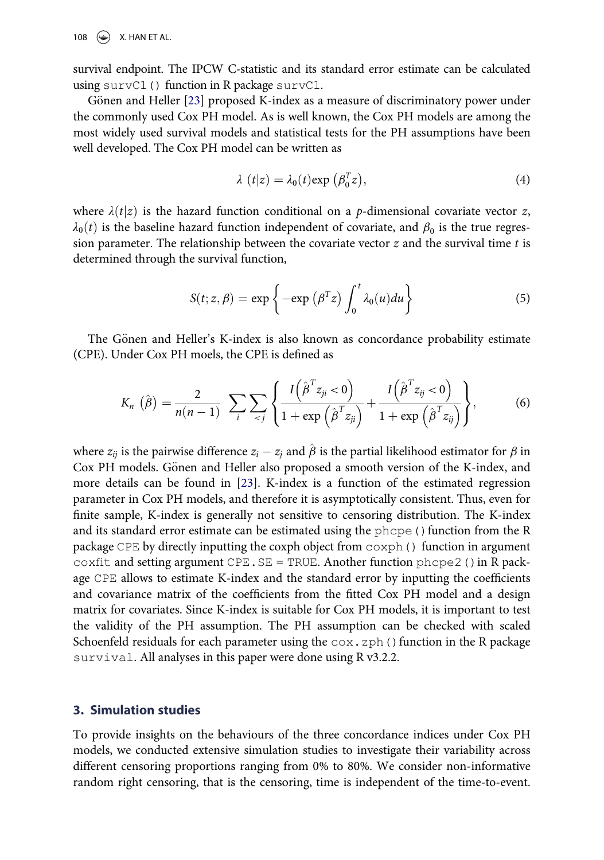108  $\left(\bigstar\right)$  X. HAN ET AL.

survival endpoint. The IPCW C-statistic and its standard error estimate can be calculated using survC1() function in R package survC1.

<span id="page-4-1"></span>Gönen and Heller [[23\]](#page-13-7) proposed K-index as a measure of discriminatory power under the commonly used Cox PH model. As is well known, the Cox PH models are among the most widely used survival models and statistical tests for the PH assumptions have been well developed. The Cox PH model can be written as

$$
\lambda(t|z) = \lambda_0(t) \exp(\beta_0^T z), \tag{4}
$$

<span id="page-4-2"></span>where  $\lambda(t|z)$  is the hazard function conditional on a p-dimensional covariate vector z,  $\lambda_0(t)$  is the baseline hazard function independent of covariate, and  $\beta_0$  is the true regression parameter. The relationship between the covariate vector  $z$  and the survival time  $t$  is determined through the survival function,

$$
S(t; z, \beta) = \exp \left\{-\exp \left(\beta^{T} z\right) \int_{0}^{t} \lambda_{0}(u) du\right\}
$$
 (5)

The Gönen and Heller's K-index is also known as concordance probability estimate (CPE). Under Cox PH moels, the CPE is defined as

$$
K_n(\hat{\beta}) = \frac{2}{n(n-1)} \sum_i \sum_{\lt j} \left\{ \frac{I\left(\hat{\beta}^T z_{ji} < 0\right)}{1 + \exp\left(\hat{\beta}^T z_{ji}\right)} + \frac{I\left(\hat{\beta}^T z_{ij} < 0\right)}{1 + \exp\left(\hat{\beta}^T z_{ij}\right)} \right\},\tag{6}
$$

where  $z_{ij}$  is the pairwise difference  $z_i - z_j$  and  $\hat{\boldsymbol{\beta}}$  is the partial likelihood estimator for  $\boldsymbol{\beta}$  in Cox PH models. Gönen and Heller also proposed a smooth version of the K-index, and more details can be found in [[23\]](#page-13-7). K-index is a function of the estimated regression parameter in Cox PH models, and therefore it is asymptotically consistent. Thus, even for finite sample, K-index is generally not sensitive to censoring distribution. The K-index and its standard error estimate can be estimated using the  $phcpe$  () function from the R package CPE by directly inputting the coxph object from coxph() function in argument coxfit and setting argument CPE.  $SE = TRUE$ . Another function phcpe2() in R package CPE allows to estimate K-index and the standard error by inputting the coefficients and covariance matrix of the coefficients from the fitted Cox PH model and a design matrix for covariates. Since K-index is suitable for Cox PH models, it is important to test the validity of the PH assumption. The PH assumption can be checked with scaled Schoenfeld residuals for each parameter using the  $\cos z$  zph() function in the R package survival. All analyses in this paper were done using R v3.2.2.

# <span id="page-4-0"></span>3. Simulation studies

To provide insights on the behaviours of the three concordance indices under Cox PH models, we conducted extensive simulation studies to investigate their variability across different censoring proportions ranging from 0% to 80%. We consider non-informative random right censoring, that is the censoring, time is independent of the time-to-event.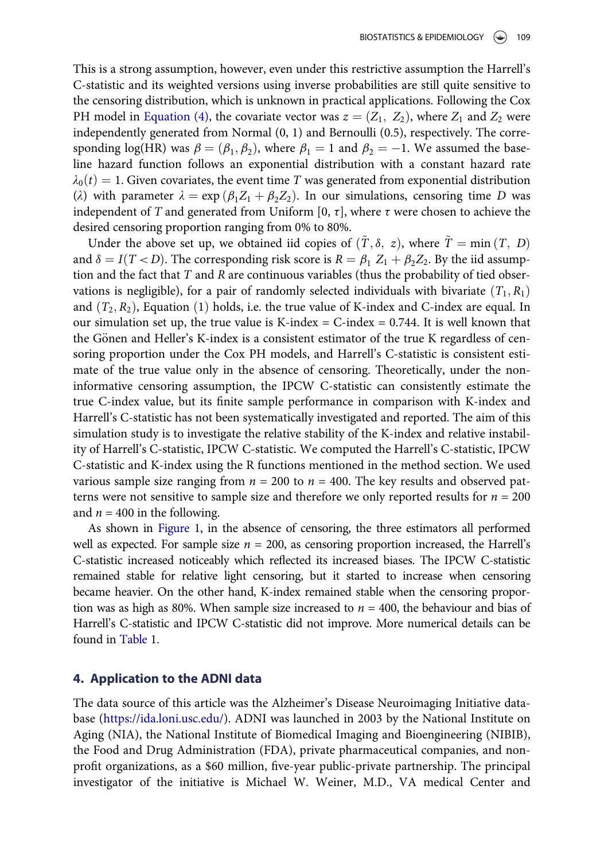This is a strong assumption, however, even under this restrictive assumption the Harrell's C-statistic and its weighted versions using inverse probabilities are still quite sensitive to the censoring distribution, which is unknown in practical applications. Following the Cox PH model in [Equation \(4\),](#page-4-1) the covariate vector was  $z = (Z_1, Z_2)$ , where  $Z_1$  and  $Z_2$  were independently generated from Normal (0, 1) and Bernoulli (0.5), respectively. The corresponding log(HR) was  $\beta = (\beta_1, \beta_2)$ , where  $\beta_1 = 1$  and  $\beta_2 = -1$ . We assumed the baseline hazard function follows an exponential distribution with a constant hazard rate  $\lambda_0(t) = 1$ . Given covariates, the event time T was generated from exponential distribution ( $\lambda$ ) with parameter  $\lambda = \exp(\beta_1 Z_1 + \beta_2 Z_2)$ . In our simulations, censoring time D was independent of T and generated from Uniform [0,  $\tau$ ], where  $\tau$  were chosen to achieve the desired censoring proportion ranging from 0% to 80%.

Under the above set up, we obtained iid copies of  $(T, \delta, z)$ , where  $T = \min (T, D)$ and  $\delta = I(T < D)$ . The corresponding risk score is  $R = \beta_1 Z_1 + \beta_2 Z_2$ . By the iid assumption and the fact that  $T$  and  $R$  are continuous variables (thus the probability of tied observations is negligible), for a pair of randomly selected individuals with bivariate  $(T_1, R_1)$ and  $(T_2, R_2)$ , Equation (1) holds, i.e. the true value of K-index and C-index are equal. In our simulation set up, the true value is K-index  $= C$ -index  $= 0.744$ . It is well known that the Gönen and Heller's K-index is a consistent estimator of the true K regardless of censoring proportion under the Cox PH models, and Harrell's C-statistic is consistent estimate of the true value only in the absence of censoring. Theoretically, under the noninformative censoring assumption, the IPCW C-statistic can consistently estimate the true C-index value, but its finite sample performance in comparison with K-index and Harrell's C-statistic has not been systematically investigated and reported. The aim of this simulation study is to investigate the relative stability of the K-index and relative instability of Harrell's C-statistic, IPCW C-statistic. We computed the Harrell's C-statistic, IPCW C-statistic and K-index using the R functions mentioned in the method section. We used various sample size ranging from  $n = 200$  to  $n = 400$ . The key results and observed patterns were not sensitive to sample size and therefore we only reported results for  $n = 200$ and  $n = 400$  in the following.

As shown in [Figure 1,](#page-6-0) in the absence of censoring, the three estimators all performed well as expected. For sample size  $n = 200$ , as censoring proportion increased, the Harrell's C-statistic increased noticeably which reflected its increased biases. The IPCW C-statistic remained stable for relative light censoring, but it started to increase when censoring became heavier. On the other hand, K-index remained stable when the censoring proportion was as high as 80%. When sample size increased to  $n = 400$ , the behaviour and bias of Harrell's C-statistic and IPCW C-statistic did not improve. More numerical details can be found in [Table 1](#page-7-0).

#### <span id="page-5-0"></span>4. Application to the ADNI data

The data source of this article was the Alzheimer's Disease Neuroimaging Initiative database ([https://ida.loni.usc.edu/\)](https://ida.loni.usc.edu/). ADNI was launched in 2003 by the National Institute on Aging (NIA), the National Institute of Biomedical Imaging and Bioengineering (NIBIB), the Food and Drug Administration (FDA), private pharmaceutical companies, and nonprofit organizations, as a \$60 million, five-year public-private partnership. The principal investigator of the initiative is Michael W. Weiner, M.D., VA medical Center and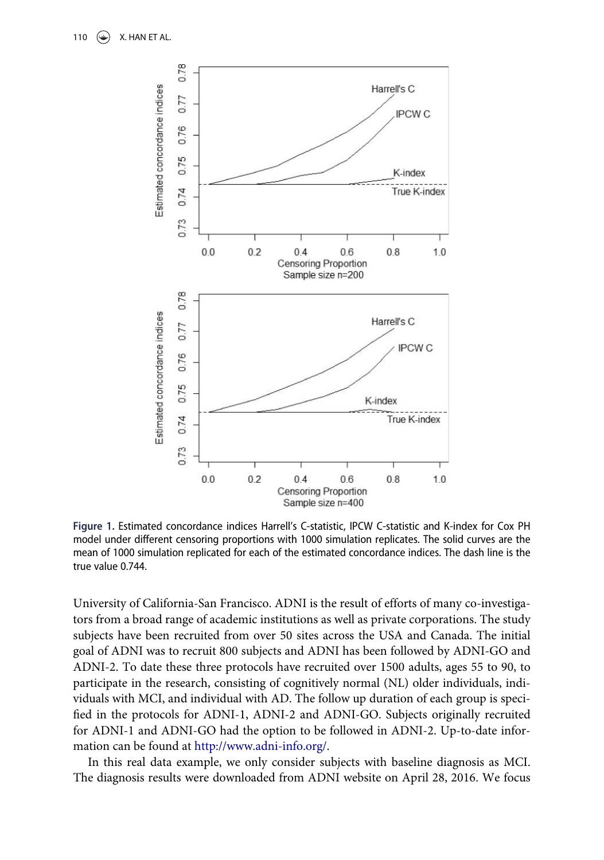<span id="page-6-0"></span>

Figure 1. Estimated concordance indices Harrell's C-statistic, IPCW C-statistic and K-index for Cox PH model under different censoring proportions with 1000 simulation replicates. The solid curves are the mean of 1000 simulation replicated for each of the estimated concordance indices. The dash line is the true value 0.744.

University of California-San Francisco. ADNI is the result of efforts of many co-investigators from a broad range of academic institutions as well as private corporations. The study subjects have been recruited from over 50 sites across the USA and Canada. The initial goal of ADNI was to recruit 800 subjects and ADNI has been followed by ADNI-GO and ADNI-2. To date these three protocols have recruited over 1500 adults, ages 55 to 90, to participate in the research, consisting of cognitively normal (NL) older individuals, individuals with MCI, and individual with AD. The follow up duration of each group is specified in the protocols for ADNI-1, ADNI-2 and ADNI-GO. Subjects originally recruited for ADNI-1 and ADNI-GO had the option to be followed in ADNI-2. Up-to-date information can be found at [http://www.adni-info.org/.](http://www.adni-info.org/)

In this real data example, we only consider subjects with baseline diagnosis as MCI. The diagnosis results were downloaded from ADNI website on April 28, 2016. We focus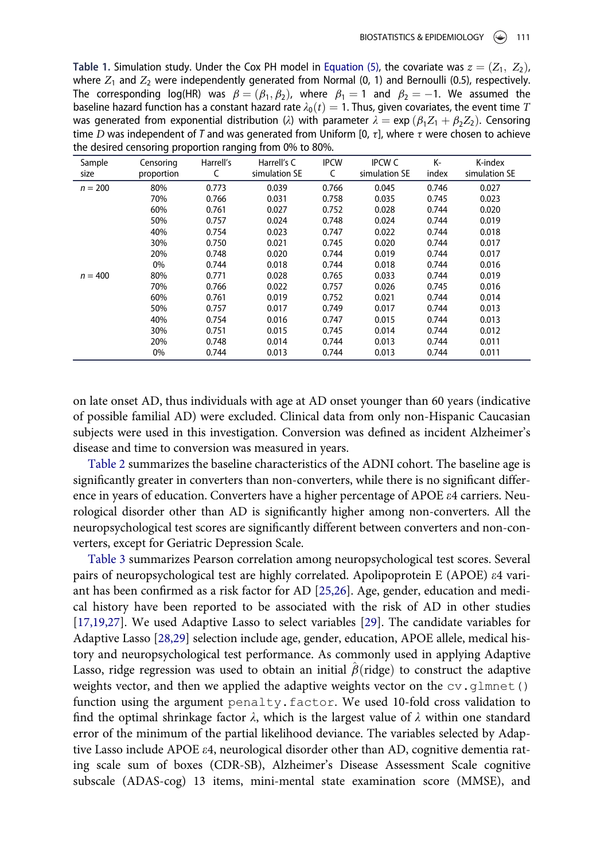<span id="page-7-0"></span>Table 1. Simulation study. Under the Cox PH model in [Equation \(5\),](#page-4-2) the covariate was  $z = (Z_1, Z_2)$ , where  $Z_1$  and  $Z_2$  were independently generated from Normal (0, 1) and Bernoulli (0.5), respectively. The corresponding log(HR) was  $\beta = (\beta_1, \beta_2)$ , where  $\beta_1 = 1$  and  $\beta_2 = -1$ . We assumed the baseline hazard function has a constant hazard rate  $\lambda_0(t) = 1$ . Thus, given covariates, the event time T was generated from exponential distribution ( $\lambda$ ) with parameter  $\lambda = \exp(\beta_1 Z_1 + \beta_2 Z_2)$ . Censoring time D was independent of T and was generated from Uniform [0,  $\tau$ ], where  $\tau$  were chosen to achieve the desired censoring proportion ranging from 0% to 80%.

| Sample<br>size | Censoring<br>proportion | Harrell's<br>C | Harrell's C<br>simulation SE | <b>IPCW</b><br>C | <b>IPCW C</b><br>simulation SE | К-<br>index | K-index<br>simulation SE |
|----------------|-------------------------|----------------|------------------------------|------------------|--------------------------------|-------------|--------------------------|
| $n = 200$      | 80%                     | 0.773          | 0.039                        | 0.766            | 0.045                          | 0.746       | 0.027                    |
|                | 70%                     | 0.766          | 0.031                        | 0.758            | 0.035                          | 0.745       | 0.023                    |
|                | 60%                     | 0.761          | 0.027                        | 0.752            | 0.028                          | 0.744       | 0.020                    |
|                | 50%                     | 0.757          | 0.024                        | 0.748            | 0.024                          | 0.744       | 0.019                    |
|                | 40%                     | 0.754          | 0.023                        | 0.747            | 0.022                          | 0.744       | 0.018                    |
|                | 30%                     | 0.750          | 0.021                        | 0.745            | 0.020                          | 0.744       | 0.017                    |
|                | 20%                     | 0.748          | 0.020                        | 0.744            | 0.019                          | 0.744       | 0.017                    |
|                | 0%                      | 0.744          | 0.018                        | 0.744            | 0.018                          | 0.744       | 0.016                    |
| $n = 400$      | 80%                     | 0.771          | 0.028                        | 0.765            | 0.033                          | 0.744       | 0.019                    |
|                | 70%                     | 0.766          | 0.022                        | 0.757            | 0.026                          | 0.745       | 0.016                    |
|                | 60%                     | 0.761          | 0.019                        | 0.752            | 0.021                          | 0.744       | 0.014                    |
|                | 50%                     | 0.757          | 0.017                        | 0.749            | 0.017                          | 0.744       | 0.013                    |
|                | 40%                     | 0.754          | 0.016                        | 0.747            | 0.015                          | 0.744       | 0.013                    |
|                | 30%                     | 0.751          | 0.015                        | 0.745            | 0.014                          | 0.744       | 0.012                    |
|                | 20%                     | 0.748          | 0.014                        | 0.744            | 0.013                          | 0.744       | 0.011                    |
|                | 0%                      | 0.744          | 0.013                        | 0.744            | 0.013                          | 0.744       | 0.011                    |

on late onset AD, thus individuals with age at AD onset younger than 60 years (indicative of possible familial AD) were excluded. Clinical data from only non-Hispanic Caucasian subjects were used in this investigation. Conversion was defined as incident Alzheimer's disease and time to conversion was measured in years.

[Table 2](#page-8-0) summarizes the baseline characteristics of the ADNI cohort. The baseline age is significantly greater in converters than non-converters, while there is no significant difference in years of education. Converters have a higher percentage of APOE e4 carriers. Neurological disorder other than AD is significantly higher among non-converters. All the neuropsychological test scores are significantly different between converters and non-converters, except for Geriatric Depression Scale.

<span id="page-7-3"></span><span id="page-7-2"></span><span id="page-7-1"></span>[Table 3](#page-8-1) summarizes Pearson correlation among neuropsychological test scores. Several pairs of neuropsychological test are highly correlated. Apolipoprotein E (APOE) e4 variant has been confirmed as a risk factor for AD [[25,26\]](#page-14-0). Age, gender, education and medical history have been reported to be associated with the risk of AD in other studies [\[17,19,27\]](#page-13-3). We used Adaptive Lasso to select variables [[29\]](#page-14-1). The candidate variables for Adaptive Lasso [\[28,29](#page-14-2)] selection include age, gender, education, APOE allele, medical history and neuropsychological test performance. As commonly used in applying Adaptive Lasso, ridge regression was used to obtain an initial  $\beta$  (ridge) to construct the adaptive weights vector, and then we applied the adaptive weights vector on the  $cv$ ,  $glmnet$  () function using the argument penalty.factor. We used 10-fold cross validation to find the optimal shrinkage factor  $\lambda$ , which is the largest value of  $\lambda$  within one standard error of the minimum of the partial likelihood deviance. The variables selected by Adaptive Lasso include APOE e4, neurological disorder other than AD, cognitive dementia rating scale sum of boxes (CDR-SB), Alzheimer's Disease Assessment Scale cognitive subscale (ADAS-cog) 13 items, mini-mental state examination score (MMSE), and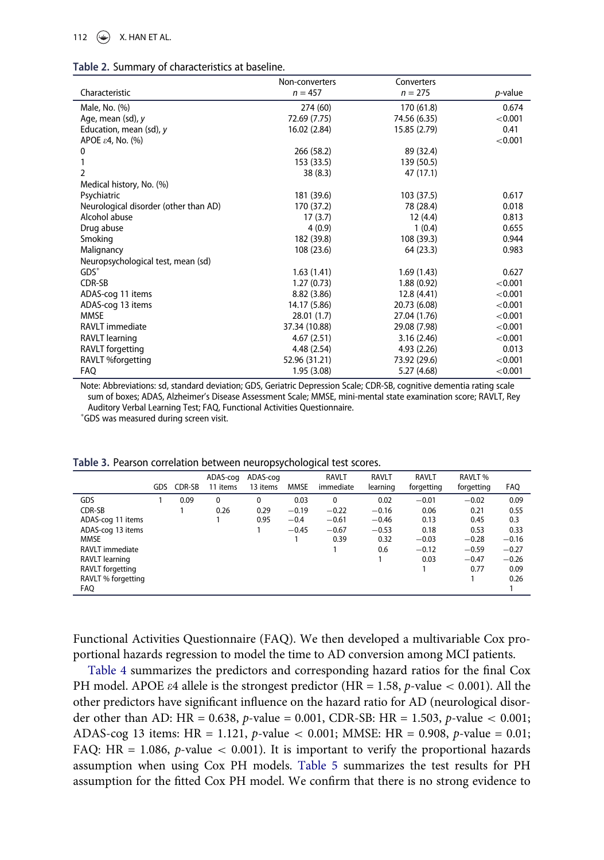#### 112  $\left(\bigoplus$  X. HAN ET AL.

#### Table 2. Summary of characteristics at baseline.

|                                       | Non-converters | Converters   |                 |
|---------------------------------------|----------------|--------------|-----------------|
| Characteristic                        | $n = 457$      | $n = 275$    | <i>p</i> -value |
| Male, No. (%)                         | 274 (60)       | 170 (61.8)   | 0.674           |
| Age, mean (sd), y                     | 72.69 (7.75)   | 74.56 (6.35) | < 0.001         |
| Education, mean (sd), y               | 16.02 (2.84)   | 15.85 (2.79) | 0.41            |
| APOE $\varepsilon$ 4, No. (%)         |                |              | < 0.001         |
| 0                                     | 266 (58.2)     | 89 (32.4)    |                 |
| 1                                     | 153 (33.5)     | 139 (50.5)   |                 |
| $\overline{2}$                        | 38(8.3)        | 47 (17.1)    |                 |
| Medical history, No. (%)              |                |              |                 |
| Psychiatric                           | 181 (39.6)     | 103 (37.5)   | 0.617           |
| Neurological disorder (other than AD) | 170 (37.2)     | 78 (28.4)    | 0.018           |
| Alcohol abuse                         | 17(3.7)        | 12(4.4)      | 0.813           |
| Drug abuse                            | 4(0.9)         | 1(0.4)       | 0.655           |
| Smoking                               | 182 (39.8)     | 108 (39.3)   | 0.944           |
| Malignancy                            | 108 (23.6)     | 64 (23.3)    | 0.983           |
| Neuropsychological test, mean (sd)    |                |              |                 |
| $GDS^*$                               | 1.63(1.41)     | 1.69(1.43)   | 0.627           |
| CDR-SB                                | 1.27(0.73)     | 1.88(0.92)   | < 0.001         |
| ADAS-cog 11 items                     | 8.82 (3.86)    | 12.8 (4.41)  | < 0.001         |
| ADAS-cog 13 items                     | 14.17 (5.86)   | 20.73 (6.08) | < 0.001         |
| <b>MMSE</b>                           | 28.01 (1.7)    | 27.04 (1.76) | < 0.001         |
| <b>RAVLT</b> immediate                | 37.34 (10.88)  | 29.08 (7.98) | < 0.001         |
| <b>RAVLT</b> learning                 | 4.67(2.51)     | 3.16(2.46)   | < 0.001         |
| <b>RAVLT</b> forgetting               | 4.48 (2.54)    | 4.93(2.26)   | 0.013           |
| RAVLT %forgetting                     | 52.96 (31.21)  | 73.92 (29.6) | < 0.001         |
| <b>FAQ</b>                            | 1.95(3.08)     | 5.27 (4.68)  | < 0.001         |

Note: Abbreviations: sd, standard deviation; GDS, Geriatric Depression Scale; CDR-SB, cognitive dementia rating scale sum of boxes; ADAS, Alzheimer's Disease Assessment Scale; MMSE, mini-mental state examination score; RAVLT, Rey Auditory Verbal Learning Test; FAQ, Functional Activities Questionnaire.

<span id="page-8-0"></span>GDS was measured during screen visit.

|                         |     |        | ADAS-cog     | ADAS-cog |         | <b>RAVLT</b> | <b>RAVLT</b> | <b>RAVLT</b> | RAVLT <sub>%</sub> |            |
|-------------------------|-----|--------|--------------|----------|---------|--------------|--------------|--------------|--------------------|------------|
|                         | GDS | CDR-SB | 11 items     | 13 items | MMSE    | immediate    | learning     | forgetting   | forgetting         | <b>FAQ</b> |
| GDS                     |     | 0.09   | $\mathbf{0}$ | 0        | 0.03    | $\mathbf{0}$ | 0.02         | $-0.01$      | $-0.02$            | 0.09       |
| CDR-SB                  |     |        | 0.26         | 0.29     | $-0.19$ | $-0.22$      | $-0.16$      | 0.06         | 0.21               | 0.55       |
| ADAS-cog 11 items       |     |        |              | 0.95     | $-0.4$  | $-0.61$      | $-0.46$      | 0.13         | 0.45               | 0.3        |
| ADAS-cog 13 items       |     |        |              |          | $-0.45$ | $-0.67$      | $-0.53$      | 0.18         | 0.53               | 0.33       |
| MMSE                    |     |        |              |          |         | 0.39         | 0.32         | $-0.03$      | $-0.28$            | $-0.16$    |
| <b>RAVLT</b> immediate  |     |        |              |          |         |              | 0.6          | $-0.12$      | $-0.59$            | $-0.27$    |
| RAVLT learning          |     |        |              |          |         |              |              | 0.03         | $-0.47$            | $-0.26$    |
| <b>RAVLT</b> forgetting |     |        |              |          |         |              |              |              | 0.77               | 0.09       |
| RAVLT % forgetting      |     |        |              |          |         |              |              |              |                    | 0.26       |
| FAQ                     |     |        |              |          |         |              |              |              |                    |            |

<span id="page-8-1"></span>Table 3. Pearson correlation between neuropsychological test scores.

Functional Activities Questionnaire (FAQ). We then developed a multivariable Cox proportional hazards regression to model the time to AD conversion among MCI patients.

[Table 4](#page-9-1) summarizes the predictors and corresponding hazard ratios for the final Cox PH model. APOE  $\varepsilon$ 4 allele is the strongest predictor (HR = 1.58, p-value < 0.001). All the other predictors have significant influence on the hazard ratio for AD (neurological disorder other than AD: HR = 0.638, p-value = 0.001, CDR-SB: HR = 1.503, p-value < 0.001; ADAS-cog 13 items: HR = 1.121, p-value < 0.001; MMSE: HR = 0.908, p-value = 0.01; FAQ: HR = 1.086, p-value  $<$  0.001). It is important to verify the proportional hazards assumption when using Cox PH models. [Table 5](#page-9-2) summarizes the test results for PH assumption for the fitted Cox PH model. We confirm that there is no strong evidence to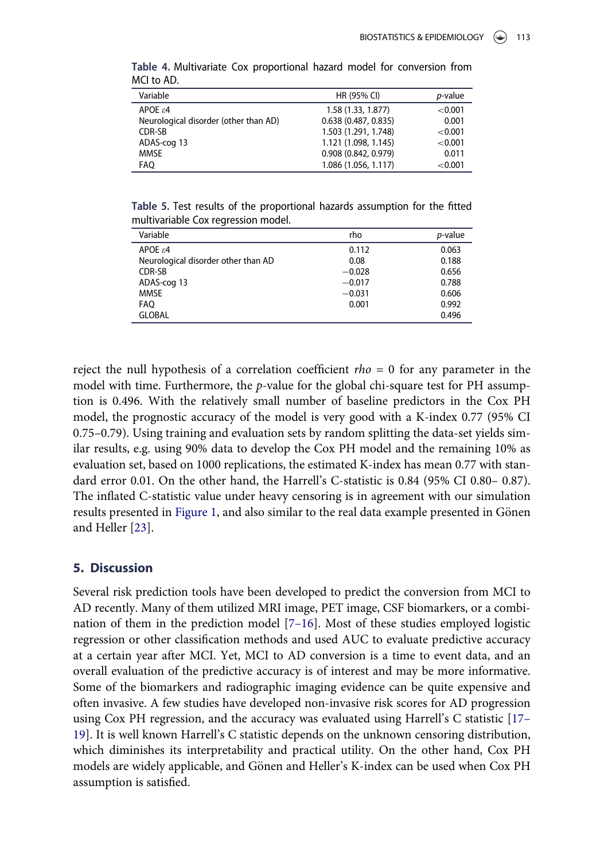| . טוי שיור                            |                      |                 |
|---------------------------------------|----------------------|-----------------|
| Variable                              | HR (95% CI)          | <i>p</i> -value |
| APOE $\varepsilon$ 4                  | 1.58 (1.33, 1.877)   | < 0.001         |
| Neurological disorder (other than AD) | 0.638(0.487, 0.835)  | 0.001           |
| CDR-SB                                | 1.503 (1.291, 1.748) | < 0.001         |
| ADAS-cog 13                           | 1.121 (1.098, 1.145) | < 0.001         |
| <b>MMSE</b>                           | 0.908(0.842, 0.979)  | 0.011           |
| <b>FAO</b>                            | 1.086 (1.056, 1.117) | < 0.001         |

<span id="page-9-1"></span>Table 4. Multivariate Cox proportional hazard model for conversion from MCI to AD.

<span id="page-9-2"></span>Table 5. Test results of the proportional hazards assumption for the fitted multivariable Cox regression model.

| Variable                            | rho      | <i>p</i> -value |
|-------------------------------------|----------|-----------------|
| APOE $\varepsilon$ 4                | 0.112    | 0.063           |
| Neurological disorder other than AD | 0.08     | 0.188           |
| CDR-SB                              | $-0.028$ | 0.656           |
| ADAS-cog 13                         | $-0.017$ | 0.788           |
| <b>MMSE</b>                         | $-0.031$ | 0.606           |
| <b>FAO</b>                          | 0.001    | 0.992           |
| <b>GLOBAL</b>                       |          | 0.496           |

reject the null hypothesis of a correlation coefficient  $rho = 0$  for any parameter in the model with time. Furthermore, the  $p$ -value for the global chi-square test for PH assumption is 0.496. With the relatively small number of baseline predictors in the Cox PH model, the prognostic accuracy of the model is very good with a K-index 0.77 (95% CI 0.75–0.79). Using training and evaluation sets by random splitting the data-set yields similar results, e.g. using 90% data to develop the Cox PH model and the remaining 10% as evaluation set, based on 1000 replications, the estimated K-index has mean 0.77 with standard error 0.01. On the other hand, the Harrell's C-statistic is 0.84 (95% CI 0.80– 0.87). The inflated C-statistic value under heavy censoring is in agreement with our simulation results presented in [Figure 1,](#page-6-0) and also similar to the real data example presented in Gönen and Heller [[23\]](#page-13-7).

### <span id="page-9-0"></span>5. Discussion

Several risk prediction tools have been developed to predict the conversion from MCI to AD recently. Many of them utilized MRI image, PET image, CSF biomarkers, or a combination of them in the prediction model  $[7-16]$  $[7-16]$  $[7-16]$ . Most of these studies employed logistic regression or other classification methods and used AUC to evaluate predictive accuracy at a certain year after MCI. Yet, MCI to AD conversion is a time to event data, and an overall evaluation of the predictive accuracy is of interest and may be more informative. Some of the biomarkers and radiographic imaging evidence can be quite expensive and often invasive. A few studies have developed non-invasive risk scores for AD progression using Cox PH regression, and the accuracy was evaluated using Harrell's C statistic [\[17](#page-13-3)– [19\]](#page-13-3). It is well known Harrell's C statistic depends on the unknown censoring distribution, which diminishes its interpretability and practical utility. On the other hand, Cox PH models are widely applicable, and Gönen and Heller's K-index can be used when Cox PH assumption is satisfied.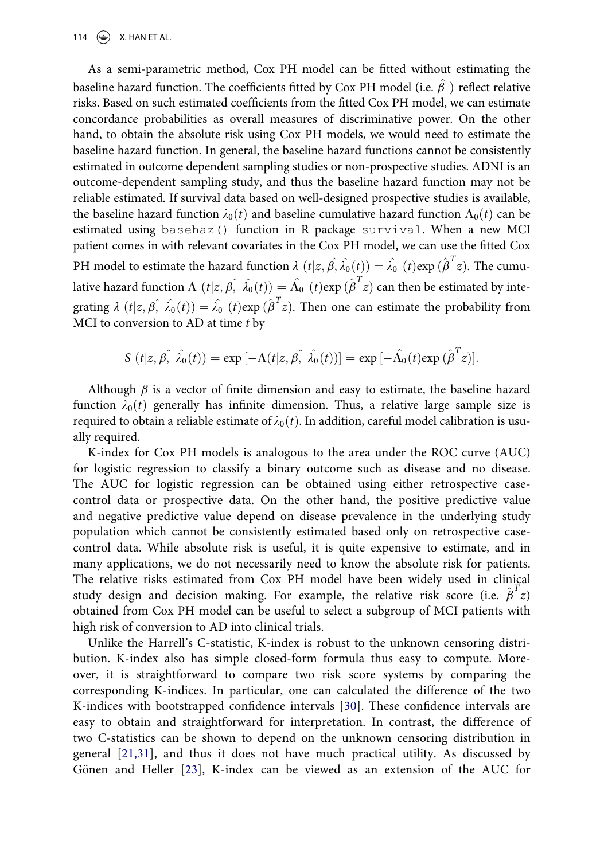114  $\left(\bigstar\right)$  X. HAN ET AL.

As a semi-parametric method, Cox PH model can be fitted without estimating the baseline hazard function. The coefficients fitted by Cox PH model (i.e.  $\hat{\beta}$ ) reflect relative risks. Based on such estimated coefficients from the fitted Cox PH model, we can estimate concordance probabilities as overall measures of discriminative power. On the other hand, to obtain the absolute risk using Cox PH models, we would need to estimate the baseline hazard function. In general, the baseline hazard functions cannot be consistently estimated in outcome dependent sampling studies or non-prospective studies. ADNI is an outcome-dependent sampling study, and thus the baseline hazard function may not be reliable estimated. If survival data based on well-designed prospective studies is available, the baseline hazard function  $\lambda_0(t)$  and baseline cumulative hazard function  $\Lambda_0(t)$  can be estimated using basehaz() function in R package survival. When a new MCI patient comes in with relevant covariates in the Cox PH model, we can use the fitted Cox PH model to estimate the hazard function  $\lambda_-(t|z,\hat{\beta}, \hat{\lambda_0}(t)) = \hat{\lambda_0}_-(t) \exp{(\hat{\beta}^T z)}$ . The cumulative hazard function  $\Lambda$   $(t | z, \beta, \hat{\lambda}_0(t)) = \hat{\Lambda}_0$   $(t) \exp{(\hat{\beta}^T z)}$  can then be estimated by integrating  $\lambda$   $(t|z, \beta, \hat{\lambda}_0(t)) = \hat{\lambda}_0$   $(t)exp(\hat{\beta}^T z)$ . Then one can estimate the probability from MCI to conversion to  $AD$  at time  $t$  by

$$
S(t|z,\hat{\beta},\hat{\lambda}_0(t)) = \exp[-\Lambda(t|z,\hat{\beta},\hat{\lambda}_0(t))] = \exp[-\hat{\Lambda}_0(t)\exp(\hat{\beta}^T z)].
$$

Although  $\beta$  is a vector of finite dimension and easy to estimate, the baseline hazard function  $\lambda_0(t)$  generally has infinite dimension. Thus, a relative large sample size is required to obtain a reliable estimate of  $\lambda_0(t)$ . In addition, careful model calibration is usually required.

K-index for Cox PH models is analogous to the area under the ROC curve (AUC) for logistic regression to classify a binary outcome such as disease and no disease. The AUC for logistic regression can be obtained using either retrospective casecontrol data or prospective data. On the other hand, the positive predictive value and negative predictive value depend on disease prevalence in the underlying study population which cannot be consistently estimated based only on retrospective casecontrol data. While absolute risk is useful, it is quite expensive to estimate, and in many applications, we do not necessarily need to know the absolute risk for patients. The relative risks estimated from Cox PH model have been widely used in clinical study design and decision making. For example, the relative risk score (i.e.  $\hat{\beta}^T z$ ) obtained from Cox PH model can be useful to select a subgroup of MCI patients with high risk of conversion to AD into clinical trials.

<span id="page-10-0"></span>Unlike the Harrell's C-statistic, K-index is robust to the unknown censoring distribution. K-index also has simple closed-form formula thus easy to compute. Moreover, it is straightforward to compare two risk score systems by comparing the corresponding K-indices. In particular, one can calculated the difference of the two K-indices with bootstrapped confidence intervals [[30](#page-14-3)]. These confidence intervals are easy to obtain and straightforward for interpretation. In contrast, the difference of two C-statistics can be shown to depend on the unknown censoring distribution in general [\[21,31](#page-13-5)], and thus it does not have much practical utility. As discussed by Gönen and Heller [\[23](#page-13-7)], K-index can be viewed as an extension of the AUC for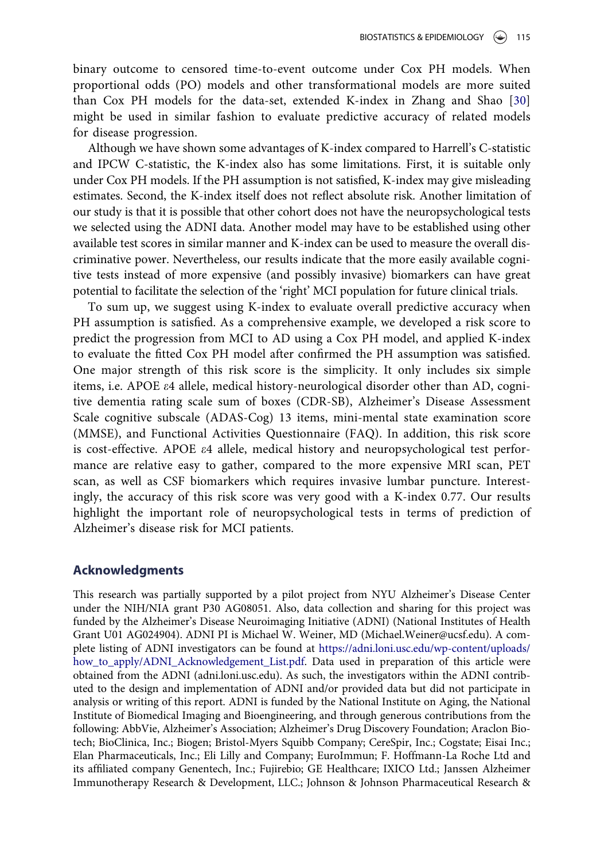binary outcome to censored time-to-event outcome under Cox PH models. When proportional odds (PO) models and other transformational models are more suited than Cox PH models for the data-set, extended K-index in Zhang and Shao [[30\]](#page-14-3) might be used in similar fashion to evaluate predictive accuracy of related models for disease progression.

Although we have shown some advantages of K-index compared to Harrell's C-statistic and IPCW C-statistic, the K-index also has some limitations. First, it is suitable only under Cox PH models. If the PH assumption is not satisfied, K-index may give misleading estimates. Second, the K-index itself does not reflect absolute risk. Another limitation of our study is that it is possible that other cohort does not have the neuropsychological tests we selected using the ADNI data. Another model may have to be established using other available test scores in similar manner and K-index can be used to measure the overall discriminative power. Nevertheless, our results indicate that the more easily available cognitive tests instead of more expensive (and possibly invasive) biomarkers can have great potential to facilitate the selection of the 'right' MCI population for future clinical trials.

To sum up, we suggest using K-index to evaluate overall predictive accuracy when PH assumption is satisfied. As a comprehensive example, we developed a risk score to predict the progression from MCI to AD using a Cox PH model, and applied K-index to evaluate the fitted Cox PH model after confirmed the PH assumption was satisfied. One major strength of this risk score is the simplicity. It only includes six simple items, i.e. APOE  $\varepsilon$ 4 allele, medical history-neurological disorder other than AD, cognitive dementia rating scale sum of boxes (CDR-SB), Alzheimer's Disease Assessment Scale cognitive subscale (ADAS-Cog) 13 items, mini-mental state examination score (MMSE), and Functional Activities Questionnaire (FAQ). In addition, this risk score is cost-effective. APOE e4 allele, medical history and neuropsychological test performance are relative easy to gather, compared to the more expensive MRI scan, PET scan, as well as CSF biomarkers which requires invasive lumbar puncture. Interestingly, the accuracy of this risk score was very good with a K-index 0.77. Our results highlight the important role of neuropsychological tests in terms of prediction of Alzheimer's disease risk for MCI patients.

## Acknowledgments

This research was partially supported by a pilot project from NYU Alzheimer's Disease Center under the NIH/NIA grant P30 AG08051. Also, data collection and sharing for this project was funded by the Alzheimer's Disease Neuroimaging Initiative (ADNI) (National Institutes of Health Grant U01 AG024904). ADNI PI is Michael W. Weiner, MD [\(Michael.Weiner@ucsf.edu\)](mailto:Michael.Weiner@ucsf.edu). A complete listing of ADNI investigators can be found at [https://adni.loni.usc.edu/wp-content/uploads/](https://adni.loni.usc.edu/wp-content/uploads/how_to_apply/ADNI_Acknowledgement_List.pdf) how to apply/ADNI\_Acknowledgement\_List.pdf. Data used in preparation of this article were obtained from the ADNI (adni.loni.usc.edu). As such, the investigators within the ADNI contributed to the design and implementation of ADNI and/or provided data but did not participate in analysis or writing of this report. ADNI is funded by the National Institute on Aging, the National Institute of Biomedical Imaging and Bioengineering, and through generous contributions from the following: AbbVie, Alzheimer's Association; Alzheimer's Drug Discovery Foundation; Araclon Biotech; BioClinica, Inc.; Biogen; Bristol-Myers Squibb Company; CereSpir, Inc.; Cogstate; Eisai Inc.; Elan Pharmaceuticals, Inc.; Eli Lilly and Company; EuroImmun; F. Hoffmann-La Roche Ltd and its affiliated company Genentech, Inc.; Fujirebio; GE Healthcare; IXICO Ltd.; Janssen Alzheimer Immunotherapy Research & Development, LLC.; Johnson & Johnson Pharmaceutical Research &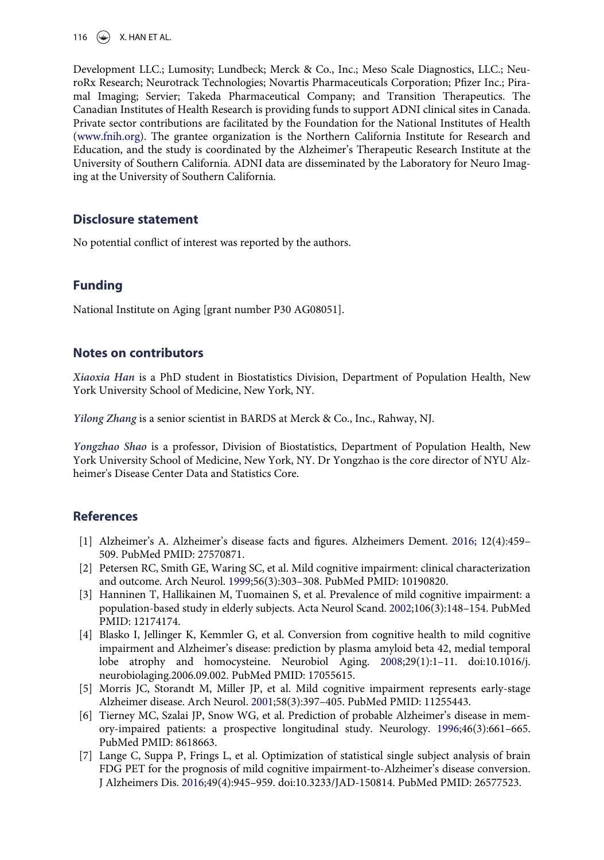116  $\left(\frac{1}{2}\right)$  X. HAN ET AL.

Development LLC.; Lumosity; Lundbeck; Merck & Co., Inc.; Meso Scale Diagnostics, LLC.; NeuroRx Research; Neurotrack Technologies; Novartis Pharmaceuticals Corporation; Pfizer Inc.; Piramal Imaging; Servier; Takeda Pharmaceutical Company; and Transition Therapeutics. The Canadian Institutes of Health Research is providing funds to support ADNI clinical sites in Canada. Private sector contributions are facilitated by the Foundation for the National Institutes of Health [\(www.fnih.org](http://www.fnih.org)). The grantee organization is the Northern California Institute for Research and Education, and the study is coordinated by the Alzheimer's Therapeutic Research Institute at the University of Southern California. ADNI data are disseminated by the Laboratory for Neuro Imaging at the University of Southern California.

# Disclosure statement

No potential conflict of interest was reported by the authors.

# Funding

National Institute on Aging [grant number P30 AG08051].

# Notes on contributors

Xiaoxia Han is a PhD student in Biostatistics Division, Department of Population Health, New York University School of Medicine, New York, NY.

Yilong Zhang is a senior scientist in BARDS at Merck & Co., Inc., Rahway, NJ.

Yongzhao Shao is a professor, Division of Biostatistics, Department of Population Health, New York University School of Medicine, New York, NY. Dr Yongzhao is the core director of NYU Alzheimer's Disease Center Data and Statistics Core.

# <span id="page-12-0"></span>References

- [1] Alzheimer's A. Alzheimer's disease facts and figures. Alzheimers Dement. [2016](#page-1-2); 12(4):459– 509. PubMed PMID: 27570871.
- <span id="page-12-1"></span>[2] Petersen RC, Smith GE, Waring SC, et al. Mild cognitive impairment: clinical characterization and outcome. Arch Neurol. [1999;](#page-1-3)56(3):303–308. PubMed PMID: 10190820.
- [3] Hanninen T, Hallikainen M, Tuomainen S, et al. Prevalence of mild cognitive impairment: a population-based study in elderly subjects. Acta Neurol Scand. 2002;106(3):148–154. PubMed PMID: 12174174.
- [4] Blasko I, Jellinger K, Kemmler G, et al. Conversion from cognitive health to mild cognitive impairment and Alzheimer's disease: prediction by plasma amyloid beta 42, medial temporal lobe atrophy and homocysteine. Neurobiol Aging. 2008;29(1):1–11. doi:[10.1016/j.](https://doi.org/10.1016/j.neurobiolaging.2006.09.002) [neurobiolaging.2006.09.002. PubMed PMID: 17055615.](https://doi.org/10.1016/j.neurobiolaging.2006.09.002)
- <span id="page-12-2"></span>[5] Morris JC, Storandt M, Miller JP, et al. Mild cognitive impairment represents early-stage Alzheimer disease. Arch Neurol. [2001](#page-1-4);58(3):397–405. PubMed PMID: 11255443.
- [6] Tierney MC, Szalai JP, Snow WG, et al. Prediction of probable Alzheimer's disease in memory-impaired patients: a prospective longitudinal study. Neurology. 1996;46(3):661–665. PubMed PMID: 8618663.
- <span id="page-12-3"></span>[7] Lange C, Suppa P, Frings L, et al. Optimization of statistical single subject analysis of brain FDG PET for the prognosis of mild cognitive impairment-to-Alzheimer's disease conversion. J Alzheimers Dis. [2016;](#page-1-5)49(4):945–959. doi[:10.3233/JAD-150814. PubMed PMID: 26577523.](https://doi.org/10.3233/JAD-150814)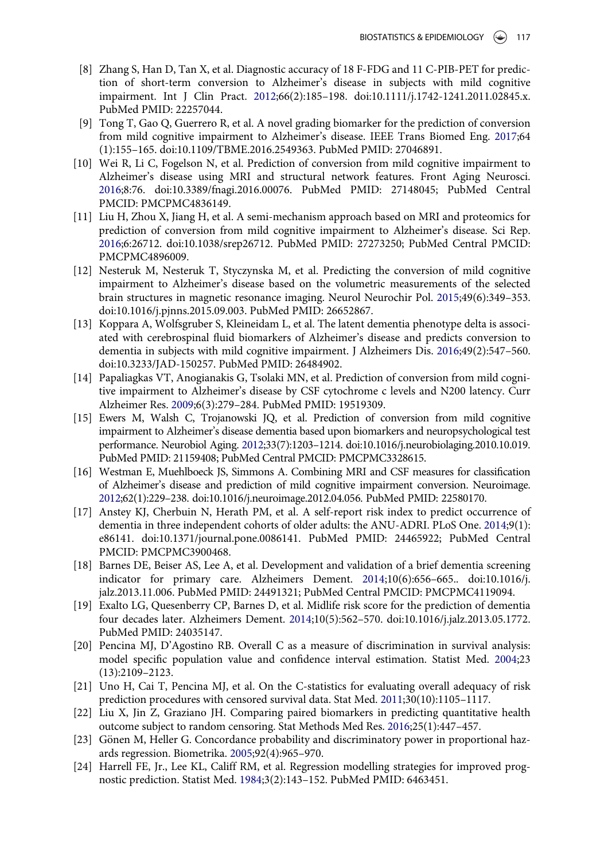- [8] Zhang S, Han D, Tan X, et al. Diagnostic accuracy of 18 F-FDG and 11 C-PIB-PET for prediction of short-term conversion to Alzheimer's disease in subjects with mild cognitive impairment. Int J Clin Pract. 2012;66(2):185–198. doi:[10.1111/j.1742-1241.2011.02845.x.](https://doi.org/10.1111/j.1742-1241.2011.02845.x) [PubMed PMID: 22257044.](https://doi.org/10.1111/j.1742-1241.2011.02845.x)
- <span id="page-13-0"></span>[9] Tong T, Gao Q, Guerrero R, et al. A novel grading biomarker for the prediction of conversion from mild cognitive impairment to Alzheimer's disease. IEEE Trans Biomed Eng. [2017](#page-2-1);64 (1):155–165. doi:[10.1109/TBME.2016.2549363. PubMed PMID: 27046891.](https://doi.org/10.1109/TBME.2016.2549363)
- [10] Wei R, Li C, Fogelson N, et al. Prediction of conversion from mild cognitive impairment to Alzheimer's disease using MRI and structural network features. Front Aging Neurosci. 2016;8:76. doi:[10.3389/fnagi.2016.00076. PubMed PMID: 27148045; PubMed Central](https://doi.org/10.3389/fnagi.2016.00076) [PMCID: PMCPMC4836149.](https://doi.org/10.3389/fnagi.2016.00076)
- [11] Liu H, Zhou X, Jiang H, et al. A semi-mechanism approach based on MRI and proteomics for prediction of conversion from mild cognitive impairment to Alzheimer's disease. Sci Rep. 2016;6:26712. doi[:10.1038/srep26712. PubMed PMID: 27273250; PubMed Central PMCID:](https://doi.org/10.1038/srep26712) [PMCPMC4896009.](https://doi.org/10.1038/srep26712)
- [12] Nesteruk M, Nesteruk T, Styczynska M, et al. Predicting the conversion of mild cognitive impairment to Alzheimer's disease based on the volumetric measurements of the selected brain structures in magnetic resonance imaging. Neurol Neurochir Pol. 2015;49(6):349–353. doi[:10.1016/j.pjnns.2015.09.003. PubMed PMID: 26652867.](https://doi.org/10.1016/j.pjnns.2015.09.003)
- <span id="page-13-1"></span>[13] Koppara A, Wolfsgruber S, Kleineidam L, et al. The latent dementia phenotype delta is associated with cerebrospinal fluid biomarkers of Alzheimer's disease and predicts conversion to dementia in subjects with mild cognitive impairment. J Alzheimers Dis. [2016](#page-2-1);49(2):547–560. doi[:10.3233/JAD-150257. PubMed PMID: 26484902.](https://doi.org/10.3233/JAD-150257)
- [14] Papaliagkas VT, Anogianakis G, Tsolaki MN, et al. Prediction of conversion from mild cognitive impairment to Alzheimer's disease by CSF cytochrome c levels and N200 latency. Curr Alzheimer Res. 2009;6(3):279–284. PubMed PMID: 19519309.
- <span id="page-13-2"></span>[15] Ewers M, Walsh C, Trojanowski JQ, et al. Prediction of conversion from mild cognitive impairment to Alzheimer's disease dementia based upon biomarkers and neuropsychological test performance. Neurobiol Aging. [2012](#page-2-2);33(7):1203–1214. doi[:10.1016/j.neurobiolaging.2010.10.019.](https://doi.org/10.1016/j.neurobiolaging.2010.10.019) [PubMed PMID: 21159408; PubMed Central PMCID: PMCPMC3328615.](https://doi.org/10.1016/j.neurobiolaging.2010.10.019)
- [16] Westman E, Muehlboeck JS, Simmons A. Combining MRI and CSF measures for classification of Alzheimer's disease and prediction of mild cognitive impairment conversion. Neuroimage. 2012;62(1):229–238. doi:[10.1016/j.neuroimage.2012.04.056. PubMed PMID: 22580170.](https://doi.org/10.1016/j.neuroimage.2012.04.056)
- <span id="page-13-3"></span>[17] Anstey KJ, Cherbuin N, Herath PM, et al. A self-report risk index to predict occurrence of dementia in three independent cohorts of older adults: the ANU-ADRI. PLoS One. [2014;](#page-2-3)9(1): e86141. doi:[10.1371/journal.pone.0086141. PubMed PMID: 24465922; PubMed Central](https://doi.org/10.1371/journal.pone.0086141) [PMCID: PMCPMC3900468.](https://doi.org/10.1371/journal.pone.0086141)
- [18] Barnes DE, Beiser AS, Lee A, et al. Development and validation of a brief dementia screening indicator for primary care. Alzheimers Dement. 2014;10(6):656–665.. doi:[10.1016/j.](https://doi.org/10.1016/j.jalz.2013.11.006) [jalz.2013.11.006. PubMed PMID: 24491321; PubMed Central PMCID: PMCPMC4119094.](https://doi.org/10.1016/j.jalz.2013.11.006)
- [19] Exalto LG, Quesenberry CP, Barnes D, et al. Midlife risk score for the prediction of dementia four decades later. Alzheimers Dement. 2014;10(5):562–570. doi[:10.1016/j.jalz.2013.05.1772.](https://doi.org/10.1016/j.jalz.2013.05.1772) [PubMed PMID: 24035147.](https://doi.org/10.1016/j.jalz.2013.05.1772)
- <span id="page-13-4"></span>[20] Pencina MJ, D'Agostino RB. Overall C as a measure of discrimination in survival analysis: model specific population value and confidence interval estimation. Statist Med. [2004](#page-2-4);23 (13):2109–2123.
- <span id="page-13-5"></span>[21] Uno H, Cai T, Pencina MJ, et al. On the C-statistics for evaluating overall adequacy of risk prediction procedures with censored survival data. Stat Med. [2011](#page-2-5);30(10):1105–1117.
- <span id="page-13-6"></span>[22] Liu X, Jin Z, Graziano JH. Comparing paired biomarkers in predicting quantitative health outcome subject to random censoring. Stat Methods Med Res. [2016;](#page-2-6)25(1):447–457.
- <span id="page-13-7"></span>[23] Gönen M, Heller G. Concordance probability and discriminatory power in proportional hazards regression. Biometrika. [2005](#page-2-7);92(4):965–970.
- <span id="page-13-8"></span>[24] Harrell FE, Jr., Lee KL, Califf RM, et al. Regression modelling strategies for improved prognostic prediction. Statist Med. [1984;](#page-3-0)3(2):143–152. PubMed PMID: 6463451.